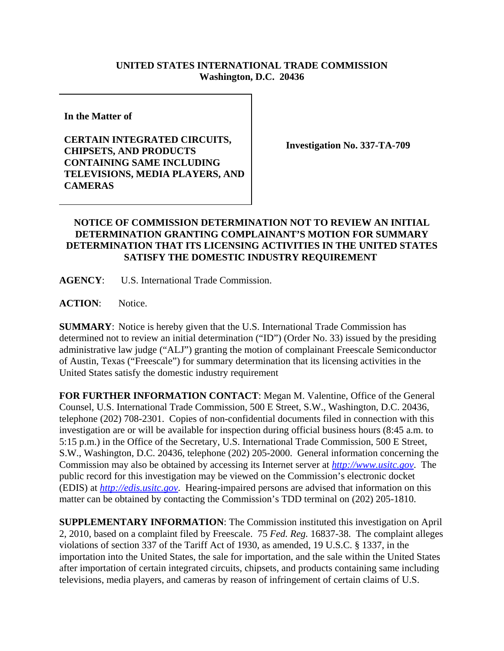## **UNITED STATES INTERNATIONAL TRADE COMMISSION Washington, D.C. 20436**

**In the Matter of** 

**CERTAIN INTEGRATED CIRCUITS, CHIPSETS, AND PRODUCTS CONTAINING SAME INCLUDING TELEVISIONS, MEDIA PLAYERS, AND CAMERAS**

**Investigation No. 337-TA-709**

## **NOTICE OF COMMISSION DETERMINATION NOT TO REVIEW AN INITIAL DETERMINATION GRANTING COMPLAINANT'S MOTION FOR SUMMARY DETERMINATION THAT ITS LICENSING ACTIVITIES IN THE UNITED STATES SATISFY THE DOMESTIC INDUSTRY REQUIREMENT**

**AGENCY**: U.S. International Trade Commission.

ACTION: Notice.

**SUMMARY**: Notice is hereby given that the U.S. International Trade Commission has determined not to review an initial determination ("ID") (Order No. 33) issued by the presiding administrative law judge ("ALJ") granting the motion of complainant Freescale Semiconductor of Austin, Texas ("Freescale") for summary determination that its licensing activities in the United States satisfy the domestic industry requirement

**FOR FURTHER INFORMATION CONTACT**: Megan M. Valentine, Office of the General Counsel, U.S. International Trade Commission, 500 E Street, S.W., Washington, D.C. 20436, telephone (202) 708-2301. Copies of non-confidential documents filed in connection with this investigation are or will be available for inspection during official business hours (8:45 a.m. to 5:15 p.m.) in the Office of the Secretary, U.S. International Trade Commission, 500 E Street, S.W., Washington, D.C. 20436, telephone (202) 205-2000. General information concerning the Commission may also be obtained by accessing its Internet server at *http://www.usitc.gov*. The public record for this investigation may be viewed on the Commission's electronic docket (EDIS) at *http://edis.usitc.gov*. Hearing-impaired persons are advised that information on this matter can be obtained by contacting the Commission's TDD terminal on (202) 205-1810.

**SUPPLEMENTARY INFORMATION**: The Commission instituted this investigation on April 2, 2010, based on a complaint filed by Freescale. 75 *Fed. Reg.* 16837-38. The complaint alleges violations of section 337 of the Tariff Act of 1930, as amended, 19 U.S.C. § 1337, in the importation into the United States, the sale for importation, and the sale within the United States after importation of certain integrated circuits, chipsets, and products containing same including televisions, media players, and cameras by reason of infringement of certain claims of U.S.